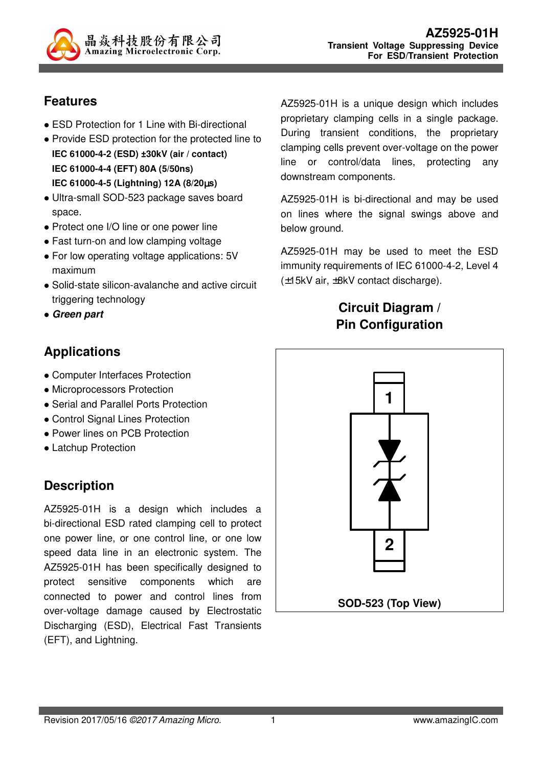

#### **Features**

- ESD Protection for 1 Line with Bi-directional
- Provide ESD protection for the protected line to **IEC 61000-4-2 (ESD) ±30kV (air / contact) IEC 61000-4-4 (EFT) 80A (5/50ns) IEC 61000-4-5 (Lightning) 12A (8/20**µ**s)**
- Ultra-small SOD-523 package saves board space.
- Protect one I/O line or one power line
- Fast turn-on and low clamping voltage
- For low operating voltage applications: 5V maximum
- Solid-state silicon-avalanche and active circuit triggering technology
- **Green part**

# **Applications**

- Computer Interfaces Protection
- Microprocessors Protection
- Serial and Parallel Ports Protection
- Control Signal Lines Protection
- Power lines on PCB Protection
- Latchup Protection

## **Description**

AZ5925-01H is a design which includes a bi-directional ESD rated clamping cell to protect one power line, or one control line, or one low speed data line in an electronic system. The AZ5925-01H has been specifically designed to protect sensitive components which are connected to power and control lines from over-voltage damage caused by Electrostatic Discharging (ESD), Electrical Fast Transients (EFT), and Lightning.

AZ5925-01H is a unique design which includes proprietary clamping cells in a single package. During transient conditions, the proprietary clamping cells prevent over-voltage on the power line or control/data lines, protecting any downstream components.

AZ5925-01H is bi-directional and may be used on lines where the signal swings above and below ground.

AZ5925-01H may be used to meet the ESD immunity requirements of IEC 61000-4-2, Level 4 (±15kV air, ±8kV contact discharge).

#### **Circuit Diagram / Pin Configuration**

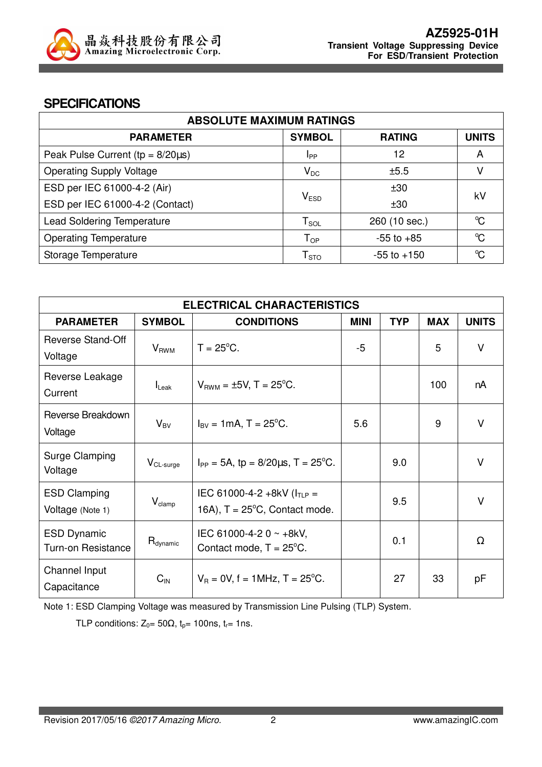

#### **SPECIFICATIONS**

| <b>ABSOLUTE MAXIMUM RATINGS</b>         |                             |                 |                      |  |
|-----------------------------------------|-----------------------------|-----------------|----------------------|--|
| <b>PARAMETER</b>                        | <b>SYMBOL</b>               | <b>RATING</b>   | <b>UNITS</b>         |  |
| Peak Pulse Current ( $tp = 8/20\mu s$ ) | <b>I</b> pp                 | 12              | A                    |  |
| <b>Operating Supply Voltage</b>         | $V_{DC}$                    | ±5.5            | V                    |  |
| ESD per IEC 61000-4-2 (Air)             |                             |                 | kV                   |  |
| ESD per IEC 61000-4-2 (Contact)         | $\mathsf{V}_{\texttt{ESD}}$ | ±30             |                      |  |
| <b>Lead Soldering Temperature</b>       | ${\sf T}_{\sf SOL}$         | 260 (10 sec.)   | $\mathrm{C}^{\circ}$ |  |
| <b>Operating Temperature</b>            | ${\mathsf T}_{\textsf{OP}}$ | $-55$ to $+85$  | $\rm ^{o}C$          |  |
| Storage Temperature                     | ${\mathsf T}_{\text{STO}}$  | $-55$ to $+150$ | °C                   |  |

| <b>ELECTRICAL CHARACTERISTICS</b>               |                      |                                                                             |             |            |            |              |
|-------------------------------------------------|----------------------|-----------------------------------------------------------------------------|-------------|------------|------------|--------------|
| <b>PARAMETER</b>                                | <b>SYMBOL</b>        | <b>CONDITIONS</b>                                                           | <b>MINI</b> | <b>TYP</b> | <b>MAX</b> | <b>UNITS</b> |
| Reverse Stand-Off<br>Voltage                    | $V_{RWM}$            | $T = 25^{\circ}$ C.                                                         | $-5$        |            | 5          | V            |
| Reverse Leakage<br>Current                      | $I_{\text{Leak}}$    | $V_{BWM} = \pm 5V$ , T = 25°C.                                              |             |            | 100        | nA           |
| Reverse Breakdown<br>Voltage                    | $V_{BV}$             | $I_{\text{BV}} = 1 \text{mA}$ , T = 25 <sup>o</sup> C.                      | 5.6         |            | 9          | V            |
| Surge Clamping<br>Voltage                       | $V_{CL-surge}$       | $I_{PP} = 5A$ , tp = 8/20 $\mu$ s, T = 25°C.                                |             | 9.0        |            | $\vee$       |
| <b>ESD Clamping</b><br>Voltage (Note 1)         | $V_{\text{clamp}}$   | IEC 61000-4-2 +8kV ( $I_{TLP}$ =<br>16A), $T = 25^{\circ}C$ , Contact mode. |             | 9.5        |            | $\vee$       |
| <b>ESD Dynamic</b><br><b>Turn-on Resistance</b> | $R_{\text{dynamic}}$ | IEC 61000-4-2 0 $\sim$ +8kV,<br>Contact mode, $T = 25^{\circ}$ C.           |             | 0.1        |            | Ω            |
| Channel Input<br>Capacitance                    | $C_{\text{IN}}$      | $V_B = 0V$ , f = 1MHz, T = 25°C.                                            |             | 27         | 33         | pF           |

Note 1: ESD Clamping Voltage was measured by Transmission Line Pulsing (TLP) System.

TLP conditions:  $Z_0 = 50\Omega$ ,  $t_p = 100$ ns,  $t_r = 1$ ns.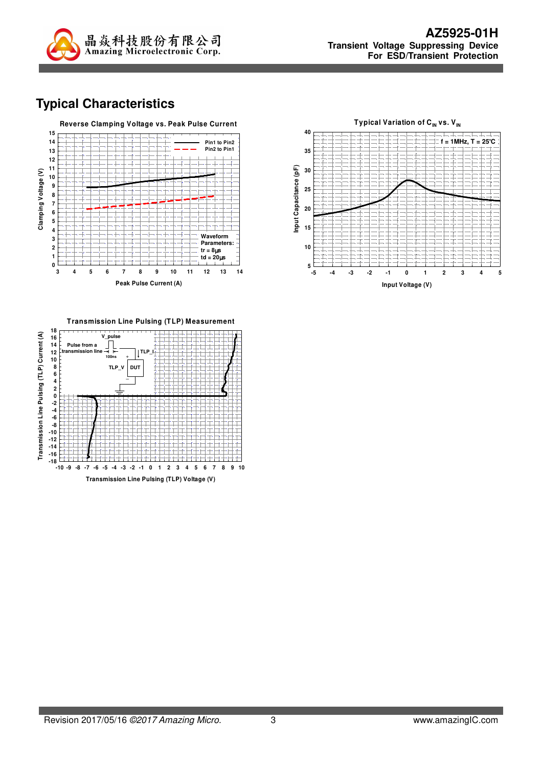

# **Typical Characteristics**





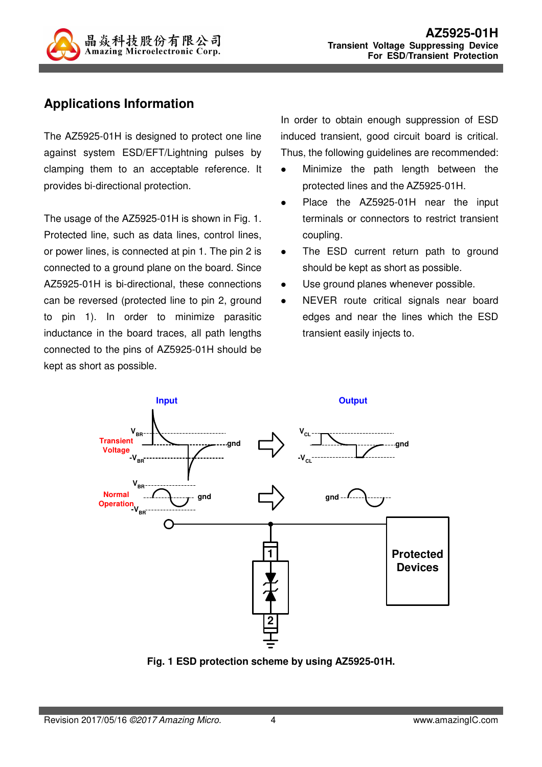

## **Applications Information**

The AZ5925-01H is designed to protect one line against system ESD/EFT/Lightning pulses by clamping them to an acceptable reference. It provides bi-directional protection.

The usage of the AZ5925-01H is shown in Fig. 1. Protected line, such as data lines, control lines, or power lines, is connected at pin 1. The pin 2 is connected to a ground plane on the board. Since AZ5925-01H is bi-directional, these connections can be reversed (protected line to pin 2, ground to pin 1). In order to minimize parasitic inductance in the board traces, all path lengths connected to the pins of AZ5925-01H should be kept as short as possible.

In order to obtain enough suppression of ESD induced transient, good circuit board is critical. Thus, the following guidelines are recommended:

- Minimize the path length between the protected lines and the AZ5925-01H.
- Place the AZ5925-01H near the input terminals or connectors to restrict transient coupling.
- The ESD current return path to ground should be kept as short as possible.
- Use ground planes whenever possible.
- NEVER route critical signals near board edges and near the lines which the ESD transient easily injects to.



**Fig. 1 ESD protection scheme by using AZ5925-01H.**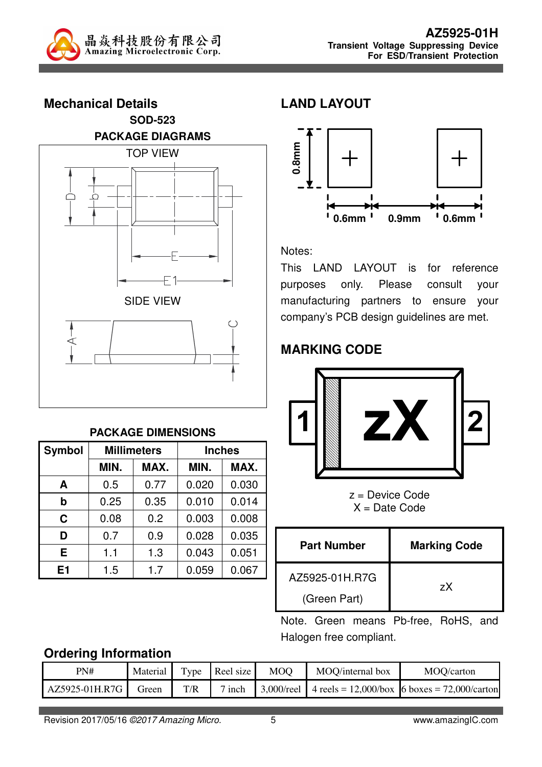



#### **PACKAGE DIMENSIONS**

| <b>Symbol</b>  |      | <b>Millimeters</b> | <b>Inches</b> |       |  |
|----------------|------|--------------------|---------------|-------|--|
|                | MIN. | MAX.               | MIN.          | MAX.  |  |
| A              | 0.5  | 0.77               | 0.020         | 0.030 |  |
| b              | 0.25 | 0.35               | 0.010         | 0.014 |  |
| C              | 0.08 | 0.2                | 0.003         | 0.008 |  |
| D              | 0.7  | 0.9                | 0.028         | 0.035 |  |
| Е              | 1.1  | 1.3                | 0.043         | 0.051 |  |
| E <sub>1</sub> | 1.5  | 1.7                | 0.059         | 0.067 |  |

#### **LAND LAYOUT**



Notes:

This LAND LAYOUT is for reference purposes only. Please consult your manufacturing partners to ensure your company's PCB design guidelines are met.

## **MARKING CODE**



z = Device Code  $X = Date Code$ 

| <b>Part Number</b> | <b>Marking Code</b> |
|--------------------|---------------------|
| AZ5925-01H.R7G     | zX                  |
| (Green Part)       |                     |

Note. Green means Pb-free, RoHS, and Halogen free compliant.

#### **Ordering Information**

| PN#            | Material |                         | Type Reel size | <b>MOO</b> | MOQ/internal box | MOQ/carton                                                                   |
|----------------|----------|-------------------------|----------------|------------|------------------|------------------------------------------------------------------------------|
| AZ5925-01H.R7G | Green    | $\mathrm{T}/\mathrm{R}$ | $\sigma$ inch  |            |                  | $\vert 3,000/\text{real} \vert$ 4 reels = 12,000/box 6 boxes = 72,000/carton |